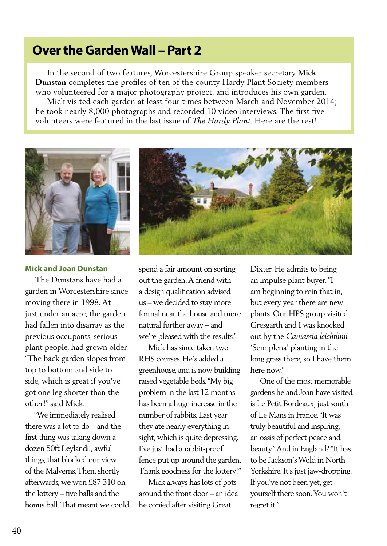# **Over the Garden Wall – Part 2**

 In the second of two features, Worcestershire Group speaker secretary **Mick Dunstan** completes the profiles of ten of the county Hardy Plant Society members who volunteered for a major photography project, and introduces his own garden. Mick visited each garden at least four times between March and November 2014; he took nearly 8,000 photographs and recorded 10 video interviews. The first five volunteers were featured in the last issue of *The Hardy Plant*. Here are the rest!



#### **Mick and Joan Dunstan**

 The Dunstans have had a garden in Worcestershire since moving there in 1998. At just under an acre, the garden had fallen into disarray as the previous occupants, serious plant people, had grown older. "The back garden slopes from top to bottom and side to side, which is great if you've got one leg shorter than the other!" said Mick.

 "We immediately realised there was a lot to do – and the first thing was taking down a dozen 50ft Leylandii, awful things, that blocked our view of the Malverns. Then, shortly afterwards, we won £87,310 on the lottery – five balls and the bonus ball. That meant we could



spend a fair amount on sorting out the garden. A friend with a design qualification advised us – we decided to stay more formal near the house and more natural further away – and we're pleased with the results."

 Mick has since taken two RHS courses. He's added a greenhouse, and is now building raised vegetable beds. "My big problem in the last 12 months has been a huge increase in the number of rabbits. Last year they ate nearly everything in sight, which is quite depressing. I've just had a rabbit-proof fence put up around the garden. Thank goodness for the lottery!"

 Mick always has lots of pots around the front door – an idea he copied after visiting Great

Dixter. He admits to being an impulse plant buyer. "I am beginning to rein that in, but every year there are new plants. Our HPS group visited Gresgarth and I was knocked out by the *Camassia leichtlinii*  'Semiplena' planting in the long grass there, so I have them here now."

 One of the most memorable gardens he and Joan have visited is Le Petit Bordeaux, just south of Le Mans in France. "It was truly beautiful and inspiring, an oasis of perfect peace and beauty." And in England? "It has to be Jackson's Wold in North Yorkshire. It's just jaw-dropping. If you've not been yet, get yourself there soon. You won't regret it."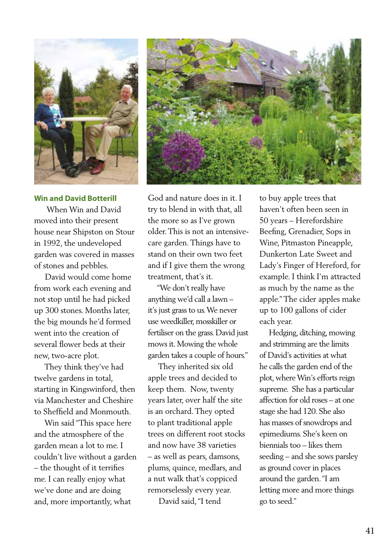

# **Win and David Botterill**

 When Win and David moved into their present house near Shipston on Stour in 1992, the undeveloped garden was covered in masses of stones and pebbles.

 David would come home from work each evening and not stop until he had picked up 300 stones. Months later, the big mounds he'd formed went into the creation of several flower beds at their new, two-acre plot.

 They think they've had twelve gardens in total, starting in Kingswinford, then via Manchester and Cheshire to Sheffield and Monmouth.

 Win said "This space here and the atmosphere of the garden mean a lot to me. I couldn't live without a garden – the thought of it terrifies me. I can really enjoy what we've done and are doing and, more importantly, what



God and nature does in it. I try to blend in with that, all the more so as I've grown older. This is not an intensivecare garden. Things have to stand on their own two feet and if I give them the wrong treatment, that's it.

 "We don't really have anything we'd call a lawn – it's just grass to us. We never use weedkiller, mosskiller or fertiliser on the grass. David just mows it. Mowing the whole garden takes a couple of hours."

 They inherited six old apple trees and decided to keep them. Now, twenty years later, over half the site is an orchard. They opted to plant traditional apple trees on different root stocks and now have 38 varieties – as well as pears, damsons, plums, quince, medlars, and a nut walk that's coppiced remorselessly every year.

David said, "I tend

to buy apple trees that haven't often been seen in 50 years – Herefordshire Beefing, Grenadier, Sops in Wine, Pitmaston Pineapple, Dunkerton Late Sweet and Lady's Finger of Hereford, for example. I think I'm attracted as much by the name as the apple." The cider apples make up to 100 gallons of cider each year.

 Hedging, ditching, mowing and strimming are the limits of David's activities at what he calls the garden end of the plot, where Win's efforts reign supreme. She has a particular affection for old roses – at one stage she had 120. She also has masses of snowdrops and epimediums. She's keen on biennials too – likes them seeding – and she sows parsley as ground cover in places around the garden. "I am letting more and more things go to seed."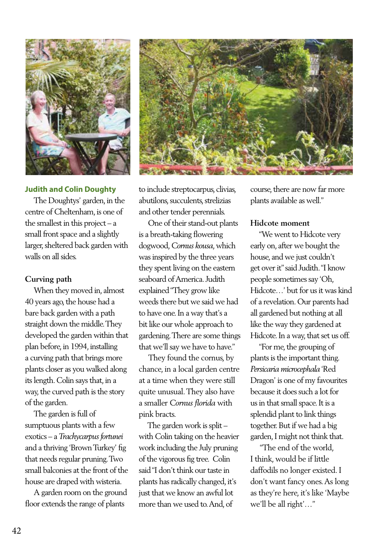

## **Judith and Colin Doughty**

 The Doughtys' garden, in the centre of Cheltenham, is one of the smallest in this project – a small front space and a slightly larger, sheltered back garden with walls on all sides.

## **Curving path**

 When they moved in, almost 40 years ago, the house had a bare back garden with a path straight down the middle. They developed the garden within that plan before, in 1994, installing a curving path that brings more plants closer as you walked along its length. Colin says that, in a way, the curved path is the story of the garden.

 The garden is full of sumptuous plants with a few exotics – a *Trachycarpus fortunei*  and a thriving 'Brown Turkey' fig that needs regular pruning. Two small balconies at the front of the house are draped with wisteria.

 A garden room on the ground floor extends the range of plants



to include streptocarpus, clivias, abutilons, succulents, strelizias and other tender perennials.

 One of their stand-out plants is a breath-taking flowering dogwood, *Cornus kousa*, which was inspired by the three years they spent living on the eastern seaboard of America. Judith explained "They grow like weeds there but we said we had to have one. In a way that's a bit like our whole approach to gardening. There are some things that we'll say we have to have."

 They found the cornus, by chance, in a local garden centre at a time when they were still quite unusual. They also have a smaller *Cornus florida* with pink bracts.

 The garden work is split – with Colin taking on the heavier work including the July pruning of the vigorous fig tree. Colin said "I don't think our taste in plants has radically changed, it's just that we know an awful lot more than we used to. And, of

course, there are now far more plants available as well."

## **Hidcote moment**

 "We went to Hidcote very early on, after we bought the house, and we just couldn't get over it" said Judith. "I know people sometimes say 'Oh, Hidcote…' but for us it was kind of a revelation. Our parents had all gardened but nothing at all like the way they gardened at Hidcote. In a way, that set us off.

 "For me, the grouping of plants is the important thing. *Persicaria microcephala* 'Red Dragon' is one of my favourites because it does such a lot for us in that small space. It is a splendid plant to link things together. But if we had a big garden, I might not think that.

 "The end of the world, I think, would be if little daffodils no longer existed. I don't want fancy ones. As long as they're here, it's like 'Maybe we'll be all right'…"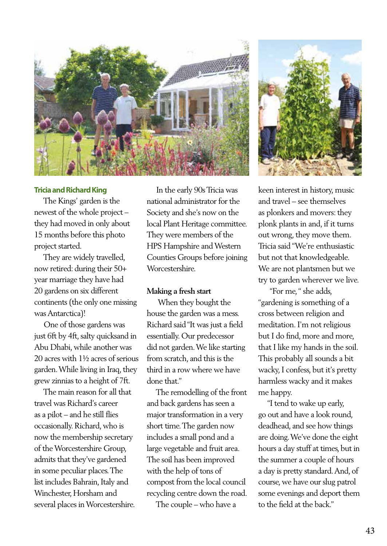

# **Tricia and Richard King**

 The Kings' garden is the newest of the whole project – they had moved in only about 15 months before this photo project started.

 They are widely travelled, now retired: during their 50+ year marriage they have had 20 gardens on six different continents (the only one missing was Antarctica)!

 One of those gardens was just 6ft by 4ft, salty quicksand in Abu Dhabi, while another was 20 acres with 1½ acres of serious garden. While living in Iraq, they grew zinnias to a height of 7ft.

 The main reason for all that travel was Richard's career as a pilot – and he still flies occasionally. Richard, who is now the membership secretary of the Worcestershire Group, admits that they've gardened in some peculiar places. The list includes Bahrain, Italy and Winchester, Horsham and several places in Worcestershire.

 In the early 90s Tricia was national administrator for the Society and she's now on the local Plant Heritage committee. They were members of the HPS Hampshire and Western Counties Groups before joining **Worcestershire** 

#### **Making a fresh start**

 When they bought the house the garden was a mess. Richard said "It was just a field essentially. Our predecessor did not garden. We like starting from scratch, and this is the third in a row where we have done that."

 The remodelling of the front and back gardens has seen a major transformation in a very short time. The garden now includes a small pond and a large vegetable and fruit area. The soil has been improved with the help of tons of compost from the local council recycling centre down the road.

The couple – who have a



keen interest in history, music and travel – see themselves as plonkers and movers: they plonk plants in and, if it turns out wrong, they move them. Tricia said "We're enthusiastic but not that knowledgeable. We are not plantsmen but we try to garden wherever we live.

 "For me, " she adds, "gardening is something of a cross between religion and meditation. I'm not religious but I do find, more and more, that I like my hands in the soil. This probably all sounds a bit wacky, I confess, but it's pretty harmless wacky and it makes me happy.

 "I tend to wake up early, go out and have a look round, deadhead, and see how things are doing. We've done the eight hours a day stuff at times, but in the summer a couple of hours a day is pretty standard. And, of course, we have our slug patrol some evenings and deport them to the field at the back."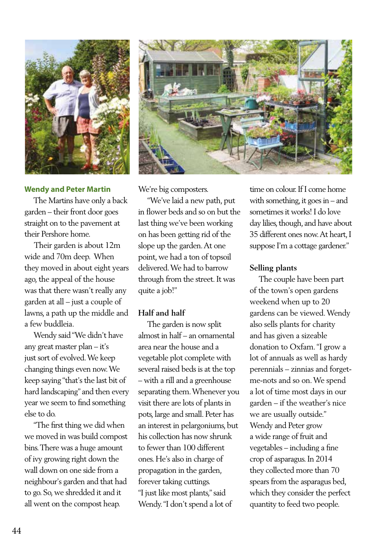

#### **Wendy and Peter Martin**

 The Martins have only a back garden – their front door goes straight on to the pavement at their Pershore home.

 Their garden is about 12m wide and 70m deep. When they moved in about eight years ago, the appeal of the house was that there wasn't really any garden at all – just a couple of lawns, a path up the middle and a few buddleia.

 Wendy said "We didn't have any great master plan – it's just sort of evolved. We keep changing things even now. We keep saying "that's the last bit of hard landscaping" and then every year we seem to find something else to do.

 "The first thing we did when we moved in was build compost bins. There was a huge amount of ivy growing right down the wall down on one side from a neighbour's garden and that had to go. So, we shredded it and it all went on the compost heap.



We're big composters.

 "We've laid a new path, put in flower beds and so on but the last thing we've been working on has been getting rid of the slope up the garden. At one point, we had a ton of topsoil delivered. We had to barrow through from the street. It was quite a job!"

# **Half and half**

 The garden is now split almost in half – an ornamental area near the house and a vegetable plot complete with several raised beds is at the top – with a rill and a greenhouse separating them. Whenever you visit there are lots of plants in pots, large and small. Peter has an interest in pelargoniums, but his collection has now shrunk to fewer than 100 different ones. He's also in charge of propagation in the garden, forever taking cuttings. "I just like most plants," said Wendy. "I don't spend a lot of

time on colour. If I come home with something, it goes in – and sometimes it works! I do love day lilies, though, and have about 35 different ones now. At heart, I suppose I'm a cottage gardener."

#### **Selling plants**

 The couple have been part of the town's open gardens weekend when up to 20 gardens can be viewed. Wendy also sells plants for charity and has given a sizeable donation to Oxfam. "I grow a lot of annuals as well as hardy perennials – zinnias and forgetme-nots and so on. We spend a lot of time most days in our garden – if the weather's nice we are usually outside." Wendy and Peter grow a wide range of fruit and vegetables – including a fine crop of asparagus. In 2014 they collected more than 70 spears from the asparagus bed, which they consider the perfect quantity to feed two people.